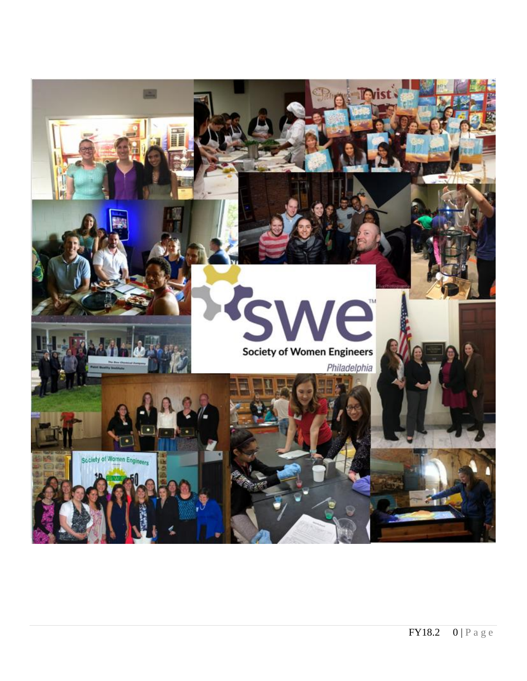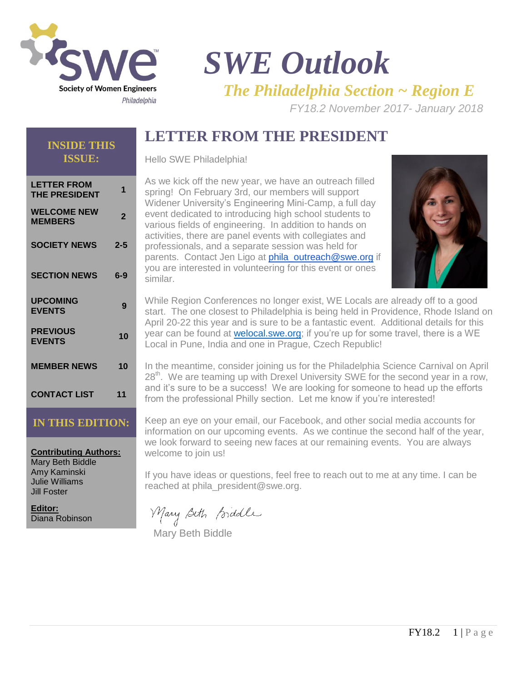

# *SWE Outlook The Philadelphia Section ~ Region E*

*FY18.2 November 2017- January 2018* 

# **LETTER FROM THE PRESIDENT**

#### **INSIDE THIS ISSUE:**

Hello SWE Philadelphia!

| LETTER FROM<br><b>THE PRESIDENT</b>  | 1              |
|--------------------------------------|----------------|
| <b>WELCOME NEW</b><br><b>MEMBERS</b> | $\overline{2}$ |
| <b>SOCIETY NEWS</b>                  | $2 - 5$        |
| <b>SECTION NEWS</b>                  | 6-9            |
| <b>UPCOMING</b><br><b>EVENTS</b>     | 9              |
| <b>PREVIOUS</b><br><b>EVENTS</b>     | 10             |
| <b>MEMBER NEWS</b>                   | 10             |
| <b>CONTACT LIST</b>                  | 11             |

#### **IN THIS EDITION:**

**Contributing Authors:** Mary Beth Biddle Amy Kaminski Julie Williams Jill Foster

**Editor:** Diana Robinson

As we kick off the new year, we have an outreach filled spring! On February 3rd, our members will support Widener University's Engineering Mini-Camp, a full day event dedicated to introducing high school students to various fields of engineering. In addition to hands on activities, there are panel events with collegiates and professionals, and a separate session was held for parents. Contact Jen Ligo at [phila\\_outreach@swe.org](mailto:phila_outreach@swe.org) if you are interested in volunteering for this event or ones similar.



While Region Conferences no longer exist, WE Locals are already off to a good start. The one closest to Philadelphia is being held in Providence, Rhode Island on April 20-22 this year and is sure to be a fantastic event. Additional details for this year can be found at [welocal.swe.org;](http://welocal.swe.org/) if you're up for some travel, there is a WE Local in Pune, India and one in Prague, Czech Republic!

In the meantime, consider joining us for the Philadelphia Science Carnival on April 28<sup>th</sup>. We are teaming up with Drexel University SWE for the second year in a row, and it's sure to be a success! We are looking for someone to head up the efforts from the professional Philly section. Let me know if you're interested!

Keep an eye on your email, our Facebook, and other social media accounts for information on our upcoming events. As we continue the second half of the year, we look forward to seeing new faces at our remaining events. You are always welcome to join us!

If you have ideas or questions, feel free to reach out to me at any time. I can be reached at phila\_president@swe.org.

Mary Beth Biddle

Mary Beth Biddle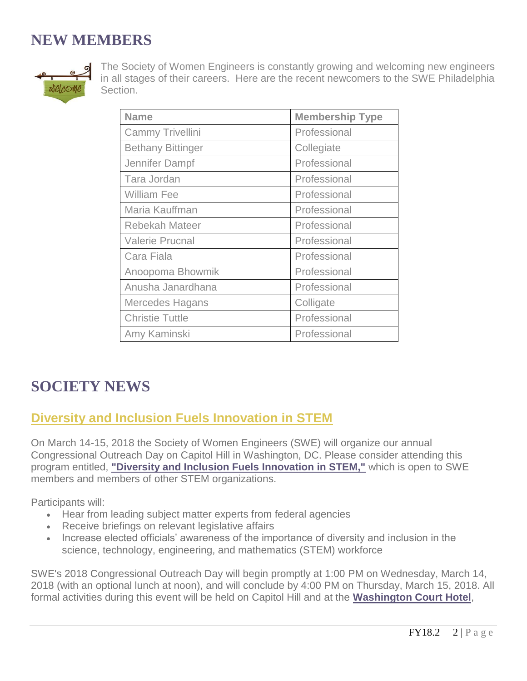# **NEW MEMBERS**



The Society of Women Engineers is constantly growing and welcoming new engineers in all stages of their careers. Here are the recent newcomers to the SWE Philadelphia Section.

| <b>Name</b>              | <b>Membership Type</b> |
|--------------------------|------------------------|
| Cammy Trivellini         | Professional           |
| <b>Bethany Bittinger</b> | Collegiate             |
| Jennifer Dampf           | Professional           |
| Tara Jordan              | Professional           |
| <b>William Fee</b>       | Professional           |
| Maria Kauffman           | Professional           |
| Rebekah Mateer           | Professional           |
| <b>Valerie Prucnal</b>   | Professional           |
| Cara Fiala               | Professional           |
| Anoopoma Bhowmik         | Professional           |
| Anusha Janardhana        | Professional           |
| Mercedes Hagans          | Colligate              |
| <b>Christie Tuttle</b>   | Professional           |
| Amy Kaminski             | Professional           |

# **SOCIETY NEWS**

### **Diversity and Inclusion Fuels Innovation in STEM**

On March 14-15, 2018 the Society of Women Engineers (SWE) will organize our annual Congressional Outreach Day on Capitol Hill in Washington, DC. Please consider attending this program entitled, **["Diversity and Inclusion Fuels Innovation in STEM,"](https://urldefense.proofpoint.com/v2/url?u=http-3A__SWE.informz.net_z_cjUucD9taT0yMjc3NDYwJnA9MSZ1PTM2OTQxMDIwMCZsaT0xMzUzNDg1Nw_index.html&d=DwMBaQ&c=F5qNGIc8vBNKKqPbpKxOcFhXsOwF7YYLtYbYjCsgcyQ&r=HsgDFTgHhgmmVh3aESNHuqfCtyeK_5pt1pTGfDymUIE&m=fI5KaVOnKK2doGAhibnc3HTvS53PV62DAgqt8viT3Gg&s=iRSgWNYLkAQ0WVxq9pvyLlJdBjWtZJl27ZMhymFAY8s&e=)** which is open to SWE members and members of other STEM organizations.

Participants will:

- Hear from leading subject matter experts from federal agencies
- Receive briefings on relevant legislative affairs
- Increase elected officials' awareness of the importance of diversity and inclusion in the science, technology, engineering, and mathematics (STEM) workforce

SWE's 2018 Congressional Outreach Day will begin promptly at 1:00 PM on Wednesday, March 14, 2018 (with an optional lunch at noon), and will conclude by 4:00 PM on Thursday, March 15, 2018. All formal activities during this event will be held on Capitol Hill and at the **[Washington Court Hotel](https://urldefense.proofpoint.com/v2/url?u=http-3A__SWE.informz.net_z_cjUucD9taT0yMjc3NDYwJnA9MSZ1PTM2OTQxMDIwMCZsaT0xMzUzNDg1OA_index.html&d=DwMBaQ&c=F5qNGIc8vBNKKqPbpKxOcFhXsOwF7YYLtYbYjCsgcyQ&r=HsgDFTgHhgmmVh3aESNHuqfCtyeK_5pt1pTGfDymUIE&m=fI5KaVOnKK2doGAhibnc3HTvS53PV62DAgqt8viT3Gg&s=bo3jrEnuFe5bzNFIEBEx04_E5zOv0TitIFBbcjp4duY&e=)**,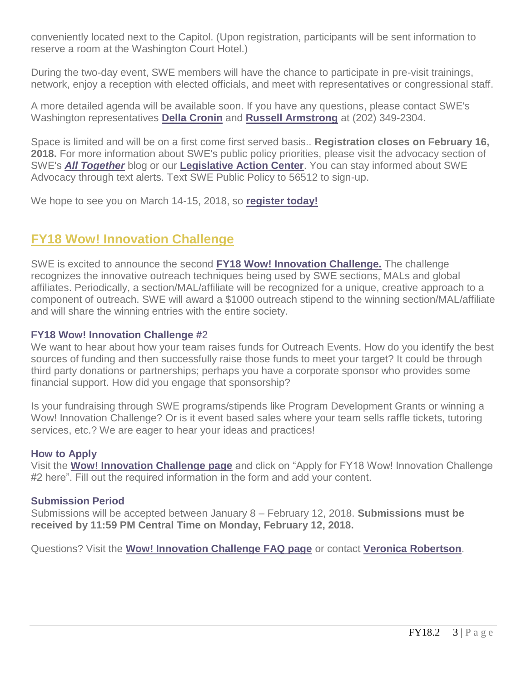conveniently located next to the Capitol. (Upon registration, participants will be sent information to reserve a room at the Washington Court Hotel.)

During the two-day event, SWE members will have the chance to participate in pre-visit trainings, network, enjoy a reception with elected officials, and meet with representatives or congressional staff.

A more detailed agenda will be available soon. If you have any questions, please contact SWE's Washington representatives **[Della Cronin](mailto:dcronin@bosewashingtonpartners.com)** and **[Russell Armstrong](mailto:rarmstrong@bosewashingtonpartners.com)** at (202) 349-2304.

Space is limited and will be on a first come first served basis.. **Registration closes on February 16, 2018.** For more information about SWE's public policy priorities, please visit the advocacy section of SWE's *[All Together](https://urldefense.proofpoint.com/v2/url?u=http-3A__SWE.informz.net_z_cjUucD9taT0yMjc3NDYwJnA9MSZ1PTM2OTQxMDIwMCZsaT0xMzUzNDg2MA_index.html&d=DwMBaQ&c=F5qNGIc8vBNKKqPbpKxOcFhXsOwF7YYLtYbYjCsgcyQ&r=HsgDFTgHhgmmVh3aESNHuqfCtyeK_5pt1pTGfDymUIE&m=fI5KaVOnKK2doGAhibnc3HTvS53PV62DAgqt8viT3Gg&s=oteAdk_jtLQ5XWlt4jtuYMtjZa1L5YX1PUfDghTKXzA&e=)* blog or our **[Legislative Action Center](https://urldefense.proofpoint.com/v2/url?u=http-3A__SWE.informz.net_z_cjUucD9taT0yMjc3NDYwJnA9MSZ1PTM2OTQxMDIwMCZsaT0xMzUzNDg2MQ_index.html&d=DwMBaQ&c=F5qNGIc8vBNKKqPbpKxOcFhXsOwF7YYLtYbYjCsgcyQ&r=HsgDFTgHhgmmVh3aESNHuqfCtyeK_5pt1pTGfDymUIE&m=fI5KaVOnKK2doGAhibnc3HTvS53PV62DAgqt8viT3Gg&s=00sBAXpfDQB2dyJppIpBXUmp17muABWPrVsG_Is84_Q&e=)**. You can stay informed about SWE Advocacy through text alerts. Text SWE Public Policy to 56512 to sign-up.

We hope to see you on March 14-15, 2018, so **[register today!](https://urldefense.proofpoint.com/v2/url?u=http-3A__SWE.informz.net_z_cjUucD9taT0yMjc3NDYwJnA9MSZ1PTM2OTQxMDIwMCZsaT0xMzUzNDg1Nw_index.html&d=DwMBaQ&c=F5qNGIc8vBNKKqPbpKxOcFhXsOwF7YYLtYbYjCsgcyQ&r=HsgDFTgHhgmmVh3aESNHuqfCtyeK_5pt1pTGfDymUIE&m=fI5KaVOnKK2doGAhibnc3HTvS53PV62DAgqt8viT3Gg&s=iRSgWNYLkAQ0WVxq9pvyLlJdBjWtZJl27ZMhymFAY8s&e=)**

### **FY18 Wow! Innovation Challenge**

SWE is excited to announce the second **[FY18 Wow! Innovation Challenge.](https://urldefense.proofpoint.com/v2/url?u=http-3A__SWE.informz.net_z_cjUucD9taT0yMjcyMjkzJnA9MSZ1PTM2OTQxMDIwMCZsaT0xMzQ1NTUzMw_index.html&d=DwMBaQ&c=F5qNGIc8vBNKKqPbpKxOcFhXsOwF7YYLtYbYjCsgcyQ&r=HsgDFTgHhgmmVh3aESNHuqfCtyeK_5pt1pTGfDymUIE&m=goZzwQhP2G9dvIkXbvHl_BXbhwXcZZ5C9pIFqVyZI50&s=3Nbrm-mFN-UNnrjM_U7LulWpVxs55_iUjSs1UnVbw6g&e=)** The challenge recognizes the innovative outreach techniques being used by SWE sections, MALs and global affiliates. Periodically, a section/MAL/affiliate will be recognized for a unique, creative approach to a component of outreach. SWE will award a \$1000 outreach stipend to the winning section/MAL/affiliate and will share the winning entries with the entire society.

#### **FY18 Wow! Innovation Challenge #**2

We want to hear about how your team raises funds for Outreach Events. How do you identify the best sources of funding and then successfully raise those funds to meet your target? It could be through third party donations or partnerships; perhaps you have a corporate sponsor who provides some financial support. How did you engage that sponsorship?

Is your fundraising through SWE programs/stipends like Program Development Grants or winning a Wow! Innovation Challenge? Or is it event based sales where your team sells raffle tickets, tutoring services, etc.? We are eager to hear your ideas and practices!

#### **How to Apply**

Visit the **[Wow! Innovation Challenge page](https://urldefense.proofpoint.com/v2/url?u=http-3A__SWE.informz.net_z_cjUucD9taT0yMjcyMjkzJnA9MSZ1PTM2OTQxMDIwMCZsaT0xMzQ1NTUzMw_index.html&d=DwMBaQ&c=F5qNGIc8vBNKKqPbpKxOcFhXsOwF7YYLtYbYjCsgcyQ&r=HsgDFTgHhgmmVh3aESNHuqfCtyeK_5pt1pTGfDymUIE&m=goZzwQhP2G9dvIkXbvHl_BXbhwXcZZ5C9pIFqVyZI50&s=3Nbrm-mFN-UNnrjM_U7LulWpVxs55_iUjSs1UnVbw6g&e=)** and click on "Apply for FY18 Wow! Innovation Challenge #2 here". Fill out the required information in the form and add your content.

#### **Submission Period**

Submissions will be accepted between January 8 – February 12, 2018. **Submissions must be received by 11:59 PM Central Time on Monday, February 12, 2018.**

Questions? Visit the **[Wow! Innovation Challenge FAQ page](https://urldefense.proofpoint.com/v2/url?u=http-3A__SWE.informz.net_z_cjUucD9taT0yMjcyMjkzJnA9MSZ1PTM2OTQxMDIwMCZsaT0xMzQ1NTUzNA_index.html&d=DwMBaQ&c=F5qNGIc8vBNKKqPbpKxOcFhXsOwF7YYLtYbYjCsgcyQ&r=HsgDFTgHhgmmVh3aESNHuqfCtyeK_5pt1pTGfDymUIE&m=goZzwQhP2G9dvIkXbvHl_BXbhwXcZZ5C9pIFqVyZI50&s=LXrhnnCfxgosVGn1WZn53D1wLmqZe7gO8lKFQTKEld8&e=)** or contact **[Veronica Robertson](mailto:acvrobertson@gmail.com)**.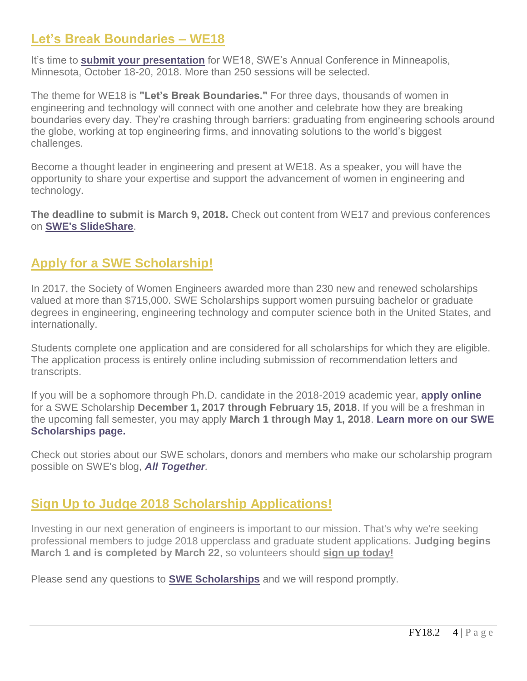### **Let's Break Boundaries – WE18**

It's time to **[submit your presentation](http://swe.informz.net/z/cjUucD9taT0yMjcwMDk3JnA9MSZ1PTM2OTQwOTI2OCZsaT0xMzQxMzMyNw/index.html)** for WE18, SWE's Annual Conference in Minneapolis, Minnesota, October 18-20, 2018. More than 250 sessions will be selected.

The theme for WE18 is **"Let's Break Boundaries."** For three days, thousands of women in engineering and technology will connect with one another and celebrate how they are breaking boundaries every day. They're crashing through barriers: graduating from engineering schools around the globe, working at top engineering firms, and innovating solutions to the world's biggest challenges.

Become a thought leader in engineering and present at WE18. As a speaker, you will have the opportunity to share your expertise and support the advancement of women in engineering and technology.

**The deadline to submit is March 9, 2018.** Check out content from WE17 and previous conferences on **[SWE's SlideShare](http://swe.informz.net/z/cjUucD9taT0yMjcwMDk3JnA9MSZ1PTM2OTQwOTI2OCZsaT0xMzQxMzMyOA/index.html)**.

### **Apply for a SWE Scholarship!**

In 2017, the Society of Women Engineers awarded more than 230 new and renewed scholarships valued at more than \$715,000. SWE Scholarships support women pursuing bachelor or graduate degrees in engineering, engineering technology and computer science both in the United States, and internationally.

Students complete one application and are considered for all scholarships for which they are eligible. The application process is entirely online including submission of recommendation letters and transcripts.

If you will be a sophomore through Ph.D. candidate in the 2018-2019 academic year, **[apply online](http://swe.informz.net/z/cjUucD9taT0yMjU2MzM5JnA9MSZ1PTM2OTQwOTI2OCZsaT0xMzIxODI4OA/index.html)** for a SWE Scholarship **December 1, 2017 through February 15, 2018**. If you will be a freshman in the upcoming fall semester, you may apply **March 1 through May 1, 2018**. **[Learn more on our SWE](http://swe.informz.net/z/cjUucD9taT0yMjU2MzM5JnA9MSZ1PTM2OTQwOTI2OCZsaT0xMzIxODI4OQ/index.html)  [Scholarships page.](http://swe.informz.net/z/cjUucD9taT0yMjU2MzM5JnA9MSZ1PTM2OTQwOTI2OCZsaT0xMzIxODI4OQ/index.html)**

Check out stories about our SWE scholars, donors and members who make our scholarship program possible on SWE's blog, *[All Together](http://swe.informz.net/z/cjUucD9taT0yMjU2MzM5JnA9MSZ1PTM2OTQwOTI2OCZsaT0xMzIxODI5MA/index.html).*

### **Sign Up to Judge 2018 Scholarship Applications!**

Investing in our next generation of engineers is important to our mission. That's why we're seeking professional members to judge 2018 upperclass and graduate student applications. **Judging begins March 1 and is completed by March 22**, so volunteers should **[sign up today!](https://urldefense.proofpoint.com/v2/url?u=http-3A__SWE.informz.net_z_cjUucD9taT0yMjgzOTU1JnA9MSZ1PTM2OTQxMDIwMCZsaT0xMzYwNTY0MA_index.html&d=DwMBaQ&c=F5qNGIc8vBNKKqPbpKxOcFhXsOwF7YYLtYbYjCsgcyQ&r=HsgDFTgHhgmmVh3aESNHuqfCtyeK_5pt1pTGfDymUIE&m=9nJ5aWxp_xKoC2qdHm5xNmVpizE_fRXAr9x5_njUT5c&s=Dhy0qGf6zv_85B7eaNkZ2upnrUFa2PD6yY_SVRUz3jA&e=)**

Please send any questions to **[SWE Scholarships](mailto:scholarships@sweoffice.org)** and we will respond promptly.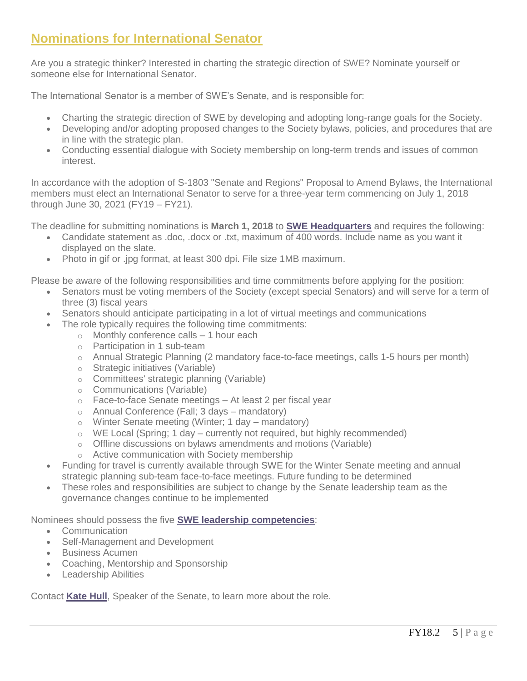### **Nominations for International Senator**

Are you a strategic thinker? Interested in charting the strategic direction of SWE? Nominate yourself or someone else for International Senator.

The International Senator is a member of SWE's Senate, and is responsible for:

- Charting the strategic direction of SWE by developing and adopting long-range goals for the Society.
- Developing and/or adopting proposed changes to the Society bylaws, policies, and procedures that are in line with the strategic plan.
- Conducting essential dialogue with Society membership on long-term trends and issues of common interest.

In accordance with the adoption of S-1803 "Senate and Regions" Proposal to Amend Bylaws, the International members must elect an International Senator to serve for a three-year term commencing on July 1, 2018 through June 30, 2021 (FY19 – FY21).

The deadline for submitting nominations is **March 1, 2018** to **[SWE Headquarters](mailto:HQ@swe.org)** and requires the following:

- Candidate statement as .doc, .docx or .txt, maximum of 400 words. Include name as you want it displayed on the slate.
- Photo in gif or .jpg format, at least 300 dpi. File size 1MB maximum.

Please be aware of the following responsibilities and time commitments before applying for the position:

- Senators must be voting members of the Society (except special Senators) and will serve for a term of three (3) fiscal years
- Senators should anticipate participating in a lot of virtual meetings and communications
	- The role typically requires the following time commitments:
		- $\circ$  Monthly conference calls  $-1$  hour each
		- o Participation in 1 sub-team
		- o Annual Strategic Planning (2 mandatory face-to-face meetings, calls 1-5 hours per month)
		- o Strategic initiatives (Variable)
		- o Committees' strategic planning (Variable)
		- o Communications (Variable)
		- o Face-to-face Senate meetings At least 2 per fiscal year
		- o Annual Conference (Fall; 3 days mandatory)
		- o Winter Senate meeting (Winter; 1 day mandatory)
		- $\circ$  WE Local (Spring; 1 day currently not required, but highly recommended)
		- o Offline discussions on bylaws amendments and motions (Variable)
		- o Active communication with Society membership
- Funding for travel is currently available through SWE for the Winter Senate meeting and annual strategic planning sub-team face-to-face meetings. Future funding to be determined
- These roles and responsibilities are subject to change by the Senate leadership team as the governance changes continue to be implemented

Nominees should possess the five **[SWE leadership competencies](http://swe.informz.net/z/cjUucD9taT0yMjc5NTkzJnA9MSZ1PTM2OTQwOTI2OCZsaT0xMzU1OTYzNw/index.html)**:

- Communication
- Self-Management and Development
- **•** Business Acumen
- Coaching, Mentorship and Sponsorship
- Leadership Abilities

Contact **[Kate Hull](mailto:senate-speaker@swe.org)**, Speaker of the Senate, to learn more about the role.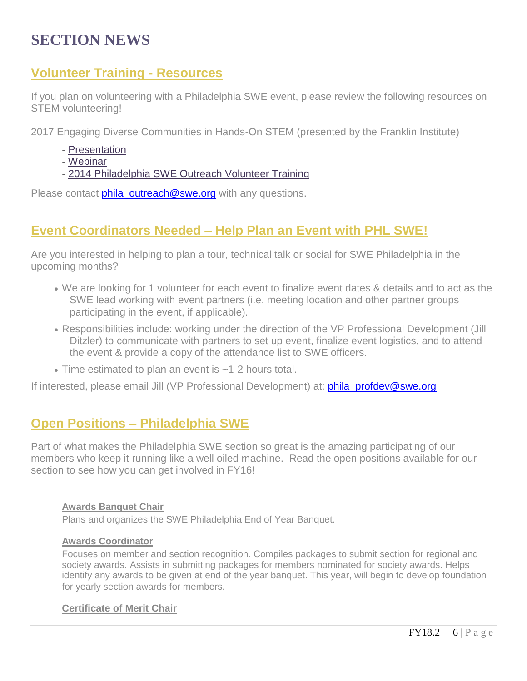# **SECTION NEWS**

### **Volunteer Training - Resources**

If you plan on volunteering with a Philadelphia SWE event, please review the following resources on STEM volunteering!

2017 Engaging Diverse Communities in Hands-On STEM (presented by the Franklin Institute)

- [Presentation](http://r20.rs6.net/tn.jsp?f=001xOXu840DJNqWAtNsj68doxSSaMJqlnOaRypjAPzGXxH_Cu6beFKuHj5RRyTNOoxkN_4_zHGZg8kBwK1oz4hbLfYRWWYIMDqgBUu2jAFiysjW--oUFoPeaAvynW7pId1pcZ_1raV99H9QZZ6VlZKJ2sSEf0FATt8AlCU8rOuozUYknPJS2qfKWc5s2k3KwgXaxi-QOx8jq5DQ5jGNL6vtHV6F2ST8zqewinnn_lfAX-X2zIlm6eTa1uvGwB3SlJKE&c=35evDAJj3oWPyl4VvkRXS5yXW8jlneYF-UufJ1XMka8bzn7qe6-Dfw==&ch=xqjsc6qIRmtq9IboekzvjlanLUSzsrBCM4SPOcZiZuAc0523tqbgFA==)
- [Webinar](http://r20.rs6.net/tn.jsp?f=001xOXu840DJNqWAtNsj68doxSSaMJqlnOaRypjAPzGXxH_Cu6beFKuHj5RRyTNOoxk2vUHOKKTBKTQCZvqEgCVhFIvYcagV9WEPI5-6eb_DGiLSAsCbenG2EQ4Kjr7ZKIn8B4BuDlB0P19p0cJ-Z7ERuhLy2_ZRzWOCQ7VDPm78qGKANYn8AlFo0Q4B6Os9Q0VvUD0eu2fzAGpifGajCt3HZNetL963MPDt0iLgQVF_mM=&c=35evDAJj3oWPyl4VvkRXS5yXW8jlneYF-UufJ1XMka8bzn7qe6-Dfw==&ch=xqjsc6qIRmtq9IboekzvjlanLUSzsrBCM4SPOcZiZuAc0523tqbgFA==)
- [2014 Philadelphia SWE Outreach Volunteer Training](http://r20.rs6.net/tn.jsp?f=001xOXu840DJNqWAtNsj68doxSSaMJqlnOaRypjAPzGXxH_Cu6beFKuHj5RRyTNOoxkyESsq9LFEn3dKYgvhmuMi2IYFSxL5fwVl2h7AsZWmGC6JghICHcs6wB0XiTjI7R9MUQjqFUKojTyaPYRHOY9FX29DU0lQ6FB3te40v4f1-VwE9LuMwqoIcGv2n7wnA-ONMCM-rB9qgSdrbQj9Gk5Z97rbQJflk0uHBoKRecFXbvpQb0Lv13xLg==&c=35evDAJj3oWPyl4VvkRXS5yXW8jlneYF-UufJ1XMka8bzn7qe6-Dfw==&ch=xqjsc6qIRmtq9IboekzvjlanLUSzsrBCM4SPOcZiZuAc0523tqbgFA==)

Please contact **[phila\\_outreach@swe.org](mailto:phila_outreach@swe.org)** with any questions.

### **Event Coordinators Needed – Help Plan an Event with PHL SWE!**

Are you interested in helping to plan a tour, technical talk or social for SWE Philadelphia in the upcoming months?

- We are looking for 1 volunteer for each event to finalize event dates & details and to act as the SWE lead working with event partners (i.e. meeting location and other partner groups participating in the event, if applicable).
- Responsibilities include: working under the direction of the VP Professional Development (Jill Ditzler) to communicate with partners to set up event, finalize event logistics, and to attend the event & provide a copy of the attendance list to SWE officers.
- Time estimated to plan an event is ~1-2 hours total.

If interested, please email Jill (VP Professional Development) at: **[phila\\_profdev@swe.org](mailto:phila_profdev@swe.org)** 

### **Open Positions – Philadelphia SWE**

Part of what makes the Philadelphia SWE section so great is the amazing participating of our members who keep it running like a well oiled machine. Read the open positions available for our section to see how you can get involved in FY16!

#### **Awards Banquet Chair**

Plans and organizes the SWE Philadelphia End of Year Banquet.

#### **Awards Coordinator**

Focuses on member and section recognition. Compiles packages to submit section for regional and society awards. Assists in submitting packages for members nominated for society awards. Helps identify any awards to be given at end of the year banquet. This year, will begin to develop foundation for yearly section awards for members.

#### **Certificate of Merit Chair**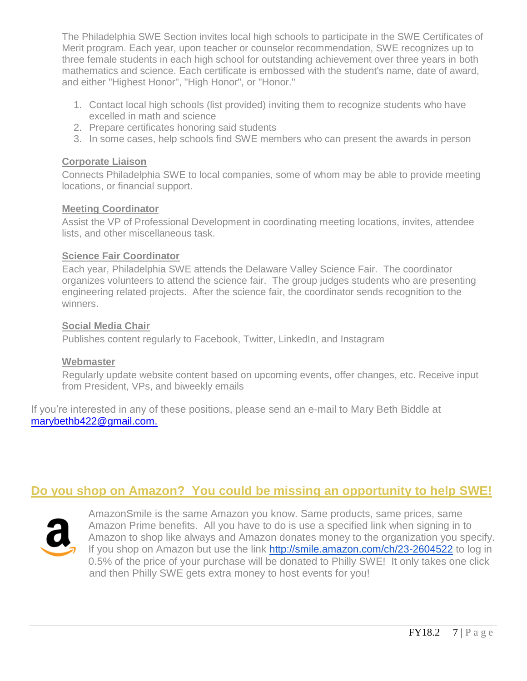The Philadelphia SWE Section invites local high schools to participate in the SWE Certificates of Merit program. Each year, upon teacher or counselor recommendation, SWE recognizes up to three female students in each high school for outstanding achievement over three years in both mathematics and science. Each certificate is embossed with the student's name, date of award, and either "Highest Honor", "High Honor", or "Honor."

- 1. Contact local high schools (list provided) inviting them to recognize students who have excelled in math and science
- 2. Prepare certificates honoring said students
- 3. In some cases, help schools find SWE members who can present the awards in person

#### **Corporate Liaison**

Connects Philadelphia SWE to local companies, some of whom may be able to provide meeting locations, or financial support.

#### **Meeting Coordinator**

Assist the VP of Professional Development in coordinating meeting locations, invites, attendee lists, and other miscellaneous task.

#### **Science Fair Coordinator**

Each year, Philadelphia SWE attends the Delaware Valley Science Fair. The coordinator organizes volunteers to attend the science fair. The group judges students who are presenting engineering related projects. After the science fair, the coordinator sends recognition to the winners.

#### **Social Media Chair**

Publishes content regularly to Facebook, Twitter, LinkedIn, and Instagram

#### **Webmaster**

Regularly update website content based on upcoming events, offer changes, etc. Receive input from President, VPs, and biweekly emails

If you're interested in any of these positions, please send an e-mail to Mary Beth Biddle at [marybethb422@gmail.com.](mailto:marybethb422@gmail.com?subject=Philadelphia%20SWE)

### **Do you shop on Amazon? You could be missing an opportunity to help SWE!**



AmazonSmile is the same Amazon you know. Same products, same prices, same Amazon Prime benefits. All you have to do is use a specified link when signing in to Amazon to shop like always and Amazon donates money to the organization you specify. If you shop on Amazon but use the link <http://smile.amazon.com/ch/23-2604522> to log in 0.5% of the price of your purchase will be donated to Philly SWE! It only takes one click and then Philly SWE gets extra money to host events for you!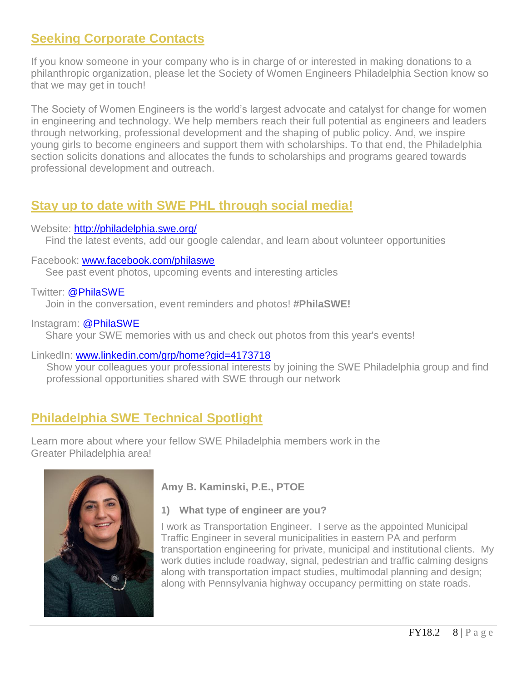### **Seeking Corporate Contacts**

If you know someone in your company who is in charge of or interested in making donations to a philanthropic organization, please let the Society of Women Engineers Philadelphia Section know so that we may get in touch!

The Society of Women Engineers is the world's largest advocate and catalyst for change for women in engineering and technology. We help members reach their full potential as engineers and leaders through networking, professional development and the shaping of public policy. And, we inspire young girls to become engineers and support them with scholarships. To that end, the Philadelphia section solicits donations and allocates the funds to scholarships and programs geared towards professional development and outreach.

### **Stay up to date with SWE PHL through social media!**

#### Website: <http://philadelphia.swe.org/>

Find the latest events, add our google calendar, and learn about volunteer opportunities

#### Facebook: [www.facebook.com/philaswe](http://www.facebook.com/philaswe)

See past event photos, upcoming events and interesting articles

Twitter: @PhilaSWE

Join in the conversation, event reminders and photos! **#PhilaSWE!**

Instagram: @PhilaSWE

Share your SWE memories with us and check out photos from this year's events!

#### LinkedIn: [www.linkedin.com/grp/home?gid=4173718](http://www.linkedin.com/grp/home?gid=4173718)

Show your colleagues your professional interests by joining the SWE Philadelphia group and find professional opportunities shared with SWE through our network

### **Philadelphia SWE Technical Spotlight**

Learn more about where your fellow SWE Philadelphia members work in the Greater Philadelphia area!



**Amy B. Kaminski, P.E., PTOE**

**1) What type of engineer are you?**

I work as Transportation Engineer. I serve as the appointed Municipal Traffic Engineer in several municipalities in eastern PA and perform transportation engineering for private, municipal and institutional clients. My work duties include roadway, signal, pedestrian and traffic calming designs along with transportation impact studies, multimodal planning and design; along with Pennsylvania highway occupancy permitting on state roads.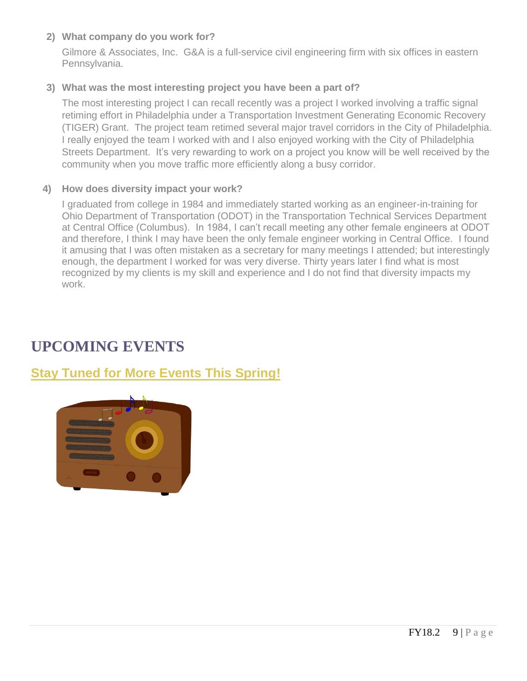#### **2) What company do you work for?**

Gilmore & Associates, Inc. G&A is a full-service civil engineering firm with six offices in eastern Pennsylvania.

#### **3) What was the most interesting project you have been a part of?**

The most interesting project I can recall recently was a project I worked involving a traffic signal retiming effort in Philadelphia under a Transportation Investment Generating Economic Recovery (TIGER) Grant. The project team retimed several major travel corridors in the City of Philadelphia. I really enjoyed the team I worked with and I also enjoyed working with the City of Philadelphia Streets Department. It's very rewarding to work on a project you know will be well received by the community when you move traffic more efficiently along a busy corridor.

#### **4) How does diversity impact your work?**

I graduated from college in 1984 and immediately started working as an engineer-in-training for Ohio Department of Transportation (ODOT) in the Transportation Technical Services Department at Central Office (Columbus). In 1984, I can't recall meeting any other female engineers at ODOT and therefore, I think I may have been the only female engineer working in Central Office. I found it amusing that I was often mistaken as a secretary for many meetings I attended; but interestingly enough, the department I worked for was very diverse. Thirty years later I find what is most recognized by my clients is my skill and experience and I do not find that diversity impacts my work.

# **UPCOMING EVENTS**

### **Stay Tuned for More Events This Spring!**

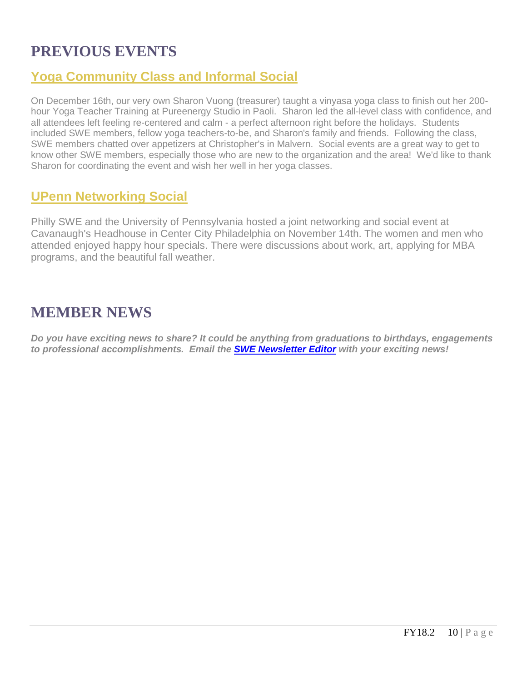# **PREVIOUS EVENTS**

### **Yoga Community Class and Informal Social**

On December 16th, our very own Sharon Vuong (treasurer) taught a vinyasa yoga class to finish out her 200 hour Yoga Teacher Training at Pureenergy Studio in Paoli. Sharon led the all-level class with confidence, and all attendees left feeling re-centered and calm - a perfect afternoon right before the holidays. Students included SWE members, fellow yoga teachers-to-be, and Sharon's family and friends. Following the class, SWE members chatted over appetizers at Christopher's in Malvern. Social events are a great way to get to know other SWE members, especially those who are new to the organization and the area! We'd like to thank Sharon for coordinating the event and wish her well in her yoga classes.

### **UPenn Networking Social**

Philly SWE and the University of Pennsylvania hosted a joint networking and social event at Cavanaugh's Headhouse in Center City Philadelphia on November 14th. The women and men who attended enjoyed happy hour specials. There were discussions about work, art, applying for MBA programs, and the beautiful fall weather.

### **MEMBER NEWS**

*Do you have exciting news to share? It could be anything from graduations to birthdays, engagements to professional accomplishments. Email the [SWE Newsletter Editor](mailto:philasweeditors@gmail.com) with your exciting news!*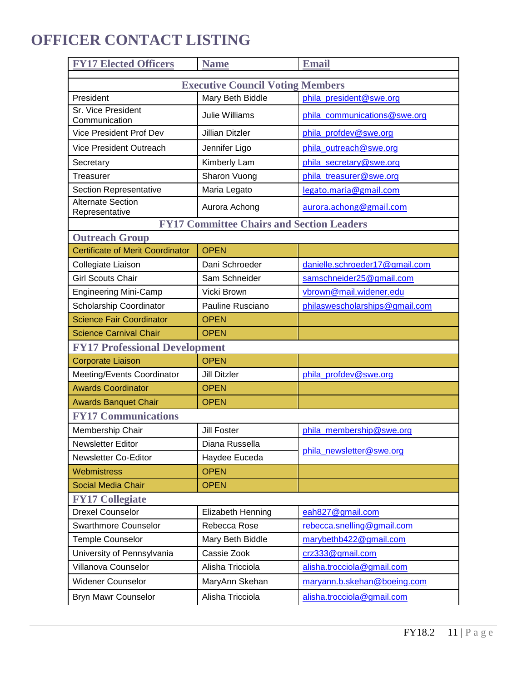# **OFFICER CONTACT LISTING**

| <b>FY17 Elected Officers</b>                     | <b>Name</b>            | <b>Email</b>                   |  |
|--------------------------------------------------|------------------------|--------------------------------|--|
| <b>Executive Council Voting Members</b>          |                        |                                |  |
| President                                        | Mary Beth Biddle       | phila president@swe.org        |  |
| Sr. Vice President<br>Communication              | <b>Julie Williams</b>  | phila_communications@swe.org   |  |
| <b>Vice President Prof Dev</b>                   | <b>Jillian Ditzler</b> | phila_profdev@swe.org          |  |
| <b>Vice President Outreach</b>                   | Jennifer Ligo          | phila outreach@swe.org         |  |
| Secretary                                        | Kimberly Lam           | phila_secretary@swe.org        |  |
| <b>Treasurer</b>                                 | Sharon Vuong           | phila treasurer@swe.org        |  |
| <b>Section Representative</b>                    | Maria Legato           | legato.maria@gmail.com         |  |
| <b>Alternate Section</b><br>Representative       | Aurora Achong          | aurora.achong@gmail.com        |  |
| <b>FY17 Committee Chairs and Section Leaders</b> |                        |                                |  |
| <b>Outreach Group</b>                            |                        |                                |  |
| <b>Certificate of Merit Coordinator</b>          | <b>OPEN</b>            |                                |  |
| Collegiate Liaison                               | Dani Schroeder         | danielle.schroeder17@gmail.com |  |
| <b>Girl Scouts Chair</b>                         | Sam Schneider          | samschneider25@gmail.com       |  |
| <b>Engineering Mini-Camp</b>                     | Vicki Brown            | vbrown@mail.widener.edu        |  |
| Scholarship Coordinator                          | Pauline Rusciano       | philaswescholarships@gmail.com |  |
| <b>Science Fair Coordinator</b>                  | <b>OPEN</b>            |                                |  |
| <b>Science Carnival Chair</b>                    | <b>OPEN</b>            |                                |  |
| <b>FY17 Professional Development</b>             |                        |                                |  |
| <b>Corporate Liaison</b>                         | <b>OPEN</b>            |                                |  |
| Meeting/Events Coordinator                       | Jill Ditzler           | phila_profdev@swe.org          |  |
| <b>Awards Coordinator</b>                        | <b>OPEN</b>            |                                |  |
| <b>Awards Banquet Chair</b>                      | <b>OPEN</b>            |                                |  |
| <b>FY17 Communications</b>                       |                        |                                |  |
| Membership Chair                                 | <b>Jill Foster</b>     | phila membership@swe.org       |  |
| <b>Newsletter Editor</b>                         | Diana Russella         |                                |  |
| Newsletter Co-Editor                             | Haydee Euceda          | phila newsletter@swe.org       |  |
| Webmistress                                      | <b>OPEN</b>            |                                |  |
| <b>Social Media Chair</b>                        | <b>OPEN</b>            |                                |  |
| <b>FY17 Collegiate</b>                           |                        |                                |  |
| <b>Drexel Counselor</b>                          | Elizabeth Henning      | eah827@gmail.com               |  |
| <b>Swarthmore Counselor</b>                      | Rebecca Rose           | rebecca.snelling@gmail.com     |  |
| <b>Temple Counselor</b>                          | Mary Beth Biddle       | marybethb422@gmail.com         |  |
| University of Pennsylvania                       | Cassie Zook            | crz333@gmail.com               |  |
| Villanova Counselor                              | Alisha Tricciola       | alisha.trocciola@gmail.com     |  |
| <b>Widener Counselor</b>                         | MaryAnn Skehan         | maryann.b.skehan@boeing.com    |  |
| Bryn Mawr Counselor                              | Alisha Tricciola       | alisha.trocciola@gmail.com     |  |